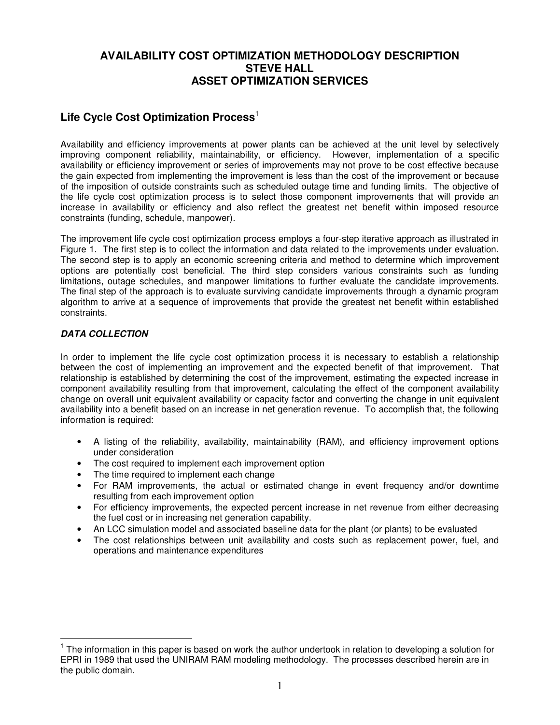# **AVAILABILITY COST OPTIMIZATION METHODOLOGY DESCRIPTION STEVE HALL ASSET OPTIMIZATION SERVICES**

# **Life Cycle Cost Optimization Process** 1

Availability and efficiency improvements at power plants can be achieved at the unit level by selectively improving component reliability, maintainability, or efficiency. However, implementation of a specific availability or efficiency improvement or series of improvements may not prove to be cost effective because the gain expected from implementing the improvement is less than the cost of the improvement or because of the imposition of outside constraints such as scheduled outage time and funding limits. The objective of the life cycle cost optimization process is to select those component improvements that will provide an increase in availability or efficiency and also reflect the greatest net benefit within imposed resource constraints (funding, schedule, manpower).

The improvement life cycle cost optimization process employs a four-step iterative approach as illustrated in Figure 1. The first step is to collect the information and data related to the improvements under evaluation. The second step is to apply an economic screening criteria and method to determine which improvement options are potentially cost beneficial. The third step considers various constraints such as funding limitations, outage schedules, and manpower limitations to further evaluate the candidate improvements. The final step of the approach is to evaluate surviving candidate improvements through a dynamic program algorithm to arrive at a sequence of improvements that provide the greatest net benefit within established constraints.

## *DATA COLLECTION*

In order to implement the life cycle cost optimization process it is necessary to establish a relationship between the cost of implementing an improvement and the expected benefit of that improvement. That relationship is established by determining the cost of the improvement, estimating the expected increase in component availability resulting from that improvement, calculating the effect of the component availability change on overall unit equivalent availability or capacity factor and converting the change in unit equivalent availability into a benefit based on an increase in net generation revenue. To accomplish that, the following information is required:

- A listing of the reliability, availability, maintainability (RAM), and efficiency improvement options under consideration
- The cost required to implement each improvement option
- The time required to implement each change
- For RAM improvements, the actual or estimated change in event frequency and/or downtime resulting from each improvement option
- For efficiency improvements, the expected percent increase in net revenue from either decreasing the fuel cost or in increasing net generation capability.
- An LCC simulation model and associated baseline data for the plant (or plants) to be evaluated
- The cost relationships between unit availability and costs such as replacement power, fuel, and operations and maintenance expenditures

<sup>&</sup>lt;sup>1</sup> The information in this paper is based on work the author undertook in relation to developing a solution for EPRI in 1989 that used the UNIRAM RAM modeling methodology. The processes described herein are in the public domain.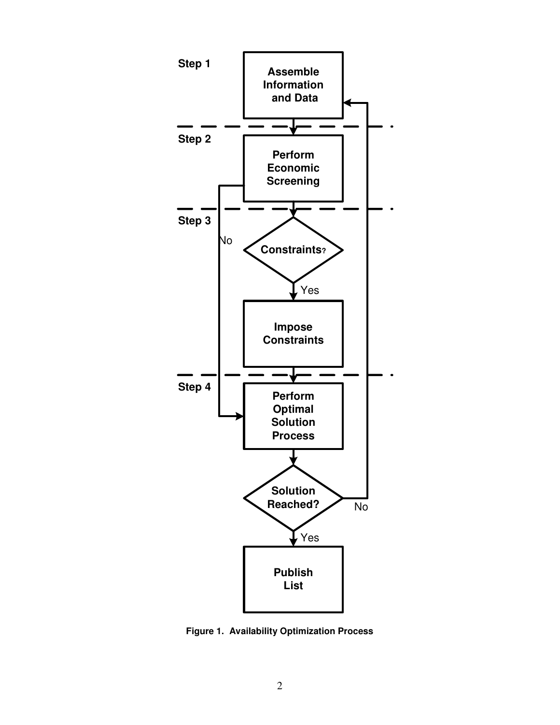

**Figure 1. Availability Optimization Process**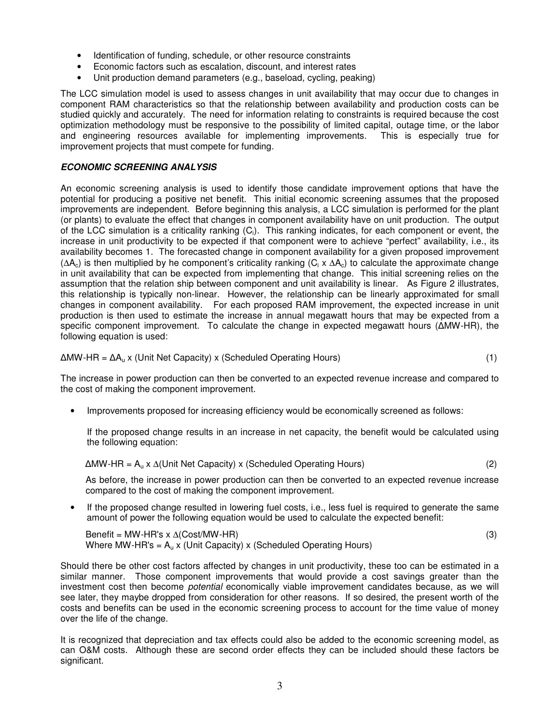- Identification of funding, schedule, or other resource constraints
- Economic factors such as escalation, discount, and interest rates
- Unit production demand parameters (e.g., baseload, cycling, peaking)

The LCC simulation model is used to assess changes in unit availability that may occur due to changes in component RAM characteristics so that the relationship between availability and production costs can be studied quickly and accurately. The need for information relating to constraints is required because the cost optimization methodology must be responsive to the possibility of limited capital, outage time, or the labor and engineering resources available for implementing improvements. This is especially true for improvement projects that must compete for funding.

### *ECONOMIC SCREENING ANALYSIS*

An economic screening analysis is used to identify those candidate improvement options that have the potential for producing a positive net benefit. This initial economic screening assumes that the proposed improvements are independent. Before beginning this analysis, a LCC simulation is performed for the plant (or plants) to evaluate the effect that changes in component availability have on unit production. The output of the LCC simulation is a criticality ranking  $(C_i)$ . This ranking indicates, for each component or event, the increase in unit productivity to be expected if that component were to achieve "perfect" availability, i.e., its availability becomes 1. The forecasted change in component availability for a given proposed improvement ( $\Delta A_c$ ) is then multiplied by he component's criticality ranking (C<sub>i</sub> x  $\Delta A_c$ ) to calculate the approximate change in unit availability that can be expected from implementing that change. This initial screening relies on the assumption that the relation ship between component and unit availability is linear. As Figure 2 illustrates, this relationship is typically non-linear. However, the relationship can be linearly approximated for small changes in component availability. For each proposed RAM improvement, the expected increase in unit production is then used to estimate the increase in annual megawatt hours that may be expected from a specific component improvement. To calculate the change in expected megawatt hours ( $\Delta MW-HR$ ), the following equation is used:

$$
\Delta MW\text{-}HR = \Delta A_u \times (Unit \text{ Net Capacity}) \times (Scheduled \text{ Operating Hours}) \tag{1}
$$

The increase in power production can then be converted to an expected revenue increase and compared to the cost of making the component improvement.

• Improvements proposed for increasing efficiency would be economically screened as follows:

If the proposed change results in an increase in net capacity, the benefit would be calculated using the following equation:

$$
\Delta MW\text{-}HR = A_u \times \Delta(Unit \text{ Net Capacity}) \times (Scheduled \text{ Operating Hours})
$$
 (2)

As before, the increase in power production can then be converted to an expected revenue increase compared to the cost of making the component improvement.

• If the proposed change resulted in lowering fuel costs, i.e., less fuel is required to generate the same amount of power the following equation would be used to calculate the expected benefit:

 $\text{Benefit} = \text{MW-HR's} \times \Delta(\text{Cost}/\text{MW-HR})$  (3) Where MW-HR's =  $A<sub>u</sub>$  x (Unit Capacity) x (Scheduled Operating Hours)

Should there be other cost factors affected by changes in unit productivity, these too can be estimated in a similar manner. Those component improvements that would provide a cost savings greater than the investment cost then become *potential* economically viable improvement candidates because, as we will see later, they maybe dropped from consideration for other reasons. If so desired, the present worth of the costs and benefits can be used in the economic screening process to account for the time value of money over the life of the change.

It is recognized that depreciation and tax effects could also be added to the economic screening model, as can O&M costs. Although these are second order effects they can be included should these factors be significant.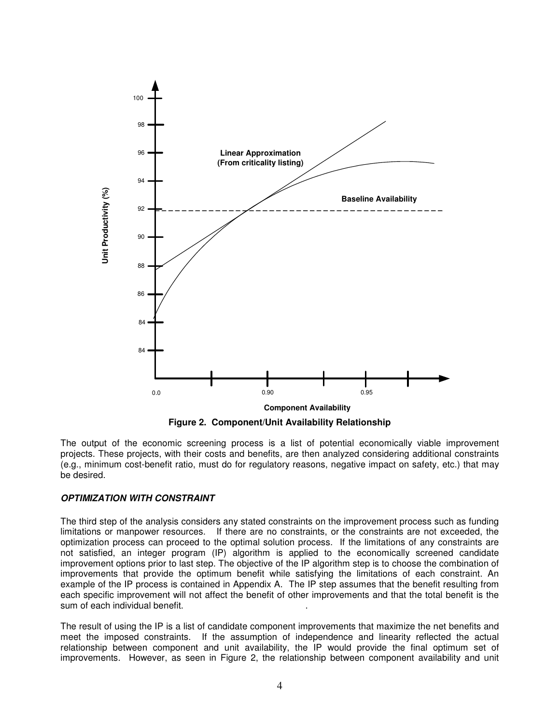

**Figure 2. Component/Unit Availability Relationship**

The output of the economic screening process is a list of potential economically viable improvement projects. These projects, with their costs and benefits, are then analyzed considering additional constraints (e.g., minimum cost-benefit ratio, must do for regulatory reasons, negative impact on safety, etc.) that may be desired.

## *OPTIMIZATION WITH CONSTRAINT*

The third step of the analysis considers any stated constraints on the improvement process such as funding limitations or manpower resources. If there are no constraints, or the constraints are not exceeded, the optimization process can proceed to the optimal solution process. If the limitations of any constraints are not satisfied, an integer program (IP) algorithm is applied to the economically screened candidate improvement options prior to last step. The objective of the IP algorithm step is to choose the combination of improvements that provide the optimum benefit while satisfying the limitations of each constraint. An example of the IP process is contained in Appendix A. The IP step assumes that the benefit resulting from each specific improvement will not affect the benefit of other improvements and that the total benefit is the sum of each individual benefit.

The result of using the IP is a list of candidate component improvements that maximize the net benefits and meet the imposed constraints. If the assumption of independence and linearity reflected the actual relationship between component and unit availability, the IP would provide the final optimum set of improvements. However, as seen in Figure 2, the relationship between component availability and unit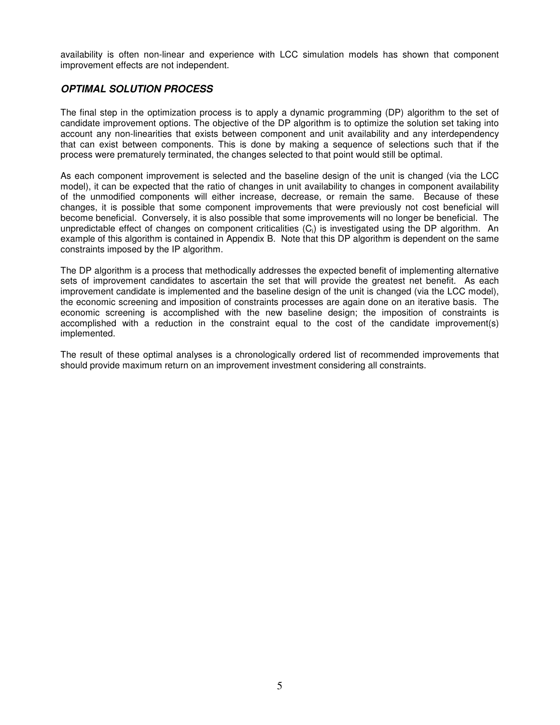availability is often non-linear and experience with LCC simulation models has shown that component improvement effects are not independent.

# *OPTIMAL SOLUTION PROCESS*

The final step in the optimization process is to apply a dynamic programming (DP) algorithm to the set of candidate improvement options. The objective of the DP algorithm is to optimize the solution set taking into account any non-linearities that exists between component and unit availability and any interdependency that can exist between components. This is done by making a sequence of selections such that if the process were prematurely terminated, the changes selected to that point would still be optimal.

As each component improvement is selected and the baseline design of the unit is changed (via the LCC model), it can be expected that the ratio of changes in unit availability to changes in component availability of the unmodified components will either increase, decrease, or remain the same. Because of these changes, it is possible that some component improvements that were previously not cost beneficial will become beneficial. Conversely, it is also possible that some improvements will no longer be beneficial. The unpredictable effect of changes on component criticalities  $(C_i)$  is investigated using the DP algorithm. An example of this algorithm is contained in Appendix B. Note that this DP algorithm is dependent on the same constraints imposed by the IP algorithm.

The DP algorithm is a process that methodically addresses the expected benefit of implementing alternative sets of improvement candidates to ascertain the set that will provide the greatest net benefit. As each improvement candidate is implemented and the baseline design of the unit is changed (via the LCC model), the economic screening and imposition of constraints processes are again done on an iterative basis. The economic screening is accomplished with the new baseline design; the imposition of constraints is accomplished with a reduction in the constraint equal to the cost of the candidate improvement(s) implemented.

The result of these optimal analyses is a chronologically ordered list of recommended improvements that should provide maximum return on an improvement investment considering all constraints.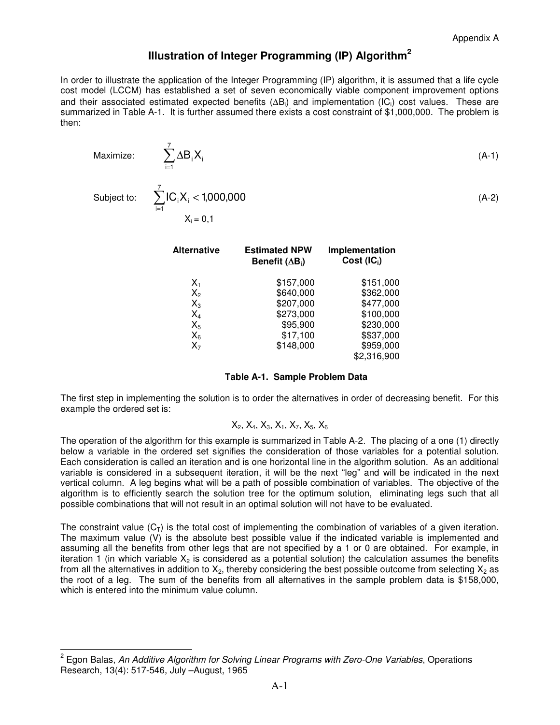# **Illustration of Integer Programming (IP) Algorithm 2**

In order to illustrate the application of the Integer Programming (IP) algorithm, it is assumed that a life cycle cost model (LCCM) has established a set of seven economically viable component improvement options and their associated estimated expected benefits ( $\Delta B_i$ ) and implementation (IC<sub>i</sub>) cost values. These are summarized in Table A-1. It is further assumed there exists a cost constraint of \$1,000,000. The problem is then:

| Maximize: | $\sum \Delta B_i X_i$<br>$i=1$                                                        | (A-1) |
|-----------|---------------------------------------------------------------------------------------|-------|
|           | Subject to: $\sum$ IC <sub>i</sub> X <sub>i</sub> < 1,000,000<br>$i=1$<br>$X_i = 0,1$ | (A-2) |

| <b>Alternative</b> | <b>Estimated NPW</b><br>Benefit $( \Delta B_i )$ | Implementation<br>Cost $(IC_i)$ |
|--------------------|--------------------------------------------------|---------------------------------|
| $X_{1}$            | \$157,000                                        | \$151,000                       |
| $X_2$              | \$640,000                                        | \$362,000                       |
| $X_3$              | \$207,000                                        | \$477,000                       |
| $X_4$              | \$273,000                                        | \$100,000                       |
| $X_5$              | \$95,900                                         | \$230,000                       |
| $X_6$              | \$17,100                                         | \$\$37,000                      |
| $X_7$              | \$148,000                                        | \$959,000                       |
|                    |                                                  | \$2,316,900                     |

#### **Table A-1. Sample Problem Data**

The first step in implementing the solution is to order the alternatives in order of decreasing benefit. For this example the ordered set is:

$$
X_2, X_4, X_3, X_1, X_7, X_5, X_6
$$

The operation of the algorithm for this example is summarized in Table A-2. The placing of a one (1) directly below a variable in the ordered set signifies the consideration of those variables for a potential solution. Each consideration is called an iteration and is one horizontal line in the algorithm solution. As an additional variable is considered in a subsequent iteration, it will be the next "leg" and will be indicated in the next vertical column. A leg begins what will be a path of possible combination of variables. The objective of the algorithm is to efficiently search the solution tree for the optimum solution, eliminating legs such that all possible combinations that will not result in an optimal solution will not have to be evaluated.

The constraint value  $(C<sub>T</sub>)$  is the total cost of implementing the combination of variables of a given iteration. The maximum value (V) is the absolute best possible value if the indicated variable is implemented and assuming all the benefits from other legs that are not specified by a 1 or 0 are obtained. For example, in iteration 1 (in which variable  $X_2$  is considered as a potential solution) the calculation assumes the benefits from all the alternatives in addition to  $X_2$ , thereby considering the best possible outcome from selecting  $X_2$  as the root of a leg. The sum of the benefits from all alternatives in the sample problem data is \$158,000, which is entered into the minimum value column.

<sup>2</sup> Egon Balas, *An Additive Algorithm for Solving Linear Programs with Zero-One Variables*, Operations Research, 13(4): 517-546, July –August, 1965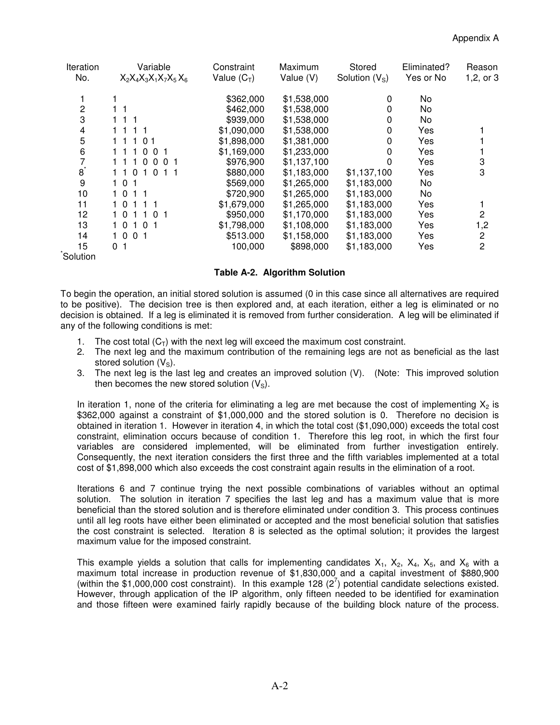| Iteration | Variable                         | Constraint    | Maximum     | Stored          | Eliminated? | Reason                  |
|-----------|----------------------------------|---------------|-------------|-----------------|-------------|-------------------------|
| No.       | $X_2X_4X_3X_1X_7X_5X_6$          | Value $(C_T)$ | Value (V)   | Solution $(VS)$ | Yes or No   | 1, 2, or 3              |
|           |                                  | \$362,000     | \$1,538,000 | 0               | No          |                         |
| 2         | 11                               | \$462,000     | \$1,538,000 | 0               | No          |                         |
| 3         | $1 \t1 \t1$                      | \$939,000     | \$1,538,000 | 0               | No          |                         |
| 4         | 1 1 1 1                          | \$1,090,000   | \$1,538,000 | 0               | Yes         |                         |
| 5         | 11101                            | \$1,898,000   | \$1,381,000 | 0               | Yes         |                         |
| 6         | 111001                           | \$1,169,000   | \$1,233,000 | 0               | Yes         |                         |
|           | 0 <sub>0</sub><br>$\overline{0}$ | \$976,900     | \$1,137,100 | 0               | Yes         | 3                       |
| $8^*$     | 110<br>$\overline{0}$<br>11      | \$880,000     | \$1,183,000 | \$1,137,100     | Yes         | 3                       |
| 9         | $1\quad0$<br>-1                  | \$569,000     | \$1,265,000 | \$1,183,000     | No          |                         |
| 10        | 10                               | \$720,900     | \$1,265,000 | \$1,183,000     | No          |                         |
| 11        | 10                               | \$1,679,000   | \$1,265,000 | \$1,183,000     | Yes         |                         |
| 12        | 10<br>$\Omega$                   | \$950,000     | \$1,170,000 | \$1,183,000     | Yes         | 2                       |
| 13        | 10<br>0 <sub>1</sub><br>1        | \$1,798,000   | \$1,108,000 | \$1,183,000     | Yes         | 1,2                     |
| 14        | $1\,0$<br>0 <sub>1</sub>         | \$513.000     | \$1,158,000 | \$1,183,000     | Yes         | $\overline{\mathbf{c}}$ |
| 15        | 0 <sub>1</sub>                   | 100,000       | \$898,000   | \$1,183,000     | Yes         | $\overline{c}$          |
| Solution  |                                  |               |             |                 |             |                         |

### **Table A-2. Algorithm Solution**

To begin the operation, an initial stored solution is assumed (0 in this case since all alternatives are required to be positive). The decision tree is then explored and, at each iteration, either a leg is eliminated or no decision is obtained. If a leg is eliminated it is removed from further consideration. A leg will be eliminated if any of the following conditions is met:

- 1. The cost total  $(C_T)$  with the next leg will exceed the maximum cost constraint.
- 2. The next leg and the maximum contribution of the remaining legs are not as beneficial as the last stored solution  $(V<sub>S</sub>)$ .
- 3. The next leg is the last leg and creates an improved solution (V). (Note: This improved solution then becomes the new stored solution  $(V_s)$ .

In iteration 1, none of the criteria for eliminating a leg are met because the cost of implementing  $X_2$  is \$362,000 against a constraint of \$1,000,000 and the stored solution is 0. Therefore no decision is obtained in iteration 1. However in iteration 4, in which the total cost (\$1,090,000) exceeds the total cost constraint, elimination occurs because of condition 1. Therefore this leg root, in which the first four variables are considered implemented, will be eliminated from further investigation entirely. Consequently, the next iteration considers the first three and the fifth variables implemented at a total cost of \$1,898,000 which also exceeds the cost constraint again results in the elimination of a root.

Iterations 6 and 7 continue trying the next possible combinations of variables without an optimal solution. The solution in iteration 7 specifies the last leg and has a maximum value that is more beneficial than the stored solution and is therefore eliminated under condition 3. This process continues until all leg roots have either been eliminated or accepted and the most beneficial solution that satisfies the cost constraint is selected. Iteration 8 is selected as the optimal solution; it provides the largest maximum value for the imposed constraint.

This example yields a solution that calls for implementing candidates  $X_1$ ,  $X_2$ ,  $X_4$ ,  $X_5$ , and  $X_6$  with a maximum total increase in production revenue of \$1,830,000 and a capital investment of \$880,900 (within the \$1,000,000 cost constraint). In this example 128 ( $2^7$ ) potential candidate selections existed. However, through application of the IP algorithm, only fifteen needed to be identified for examination and those fifteen were examined fairly rapidly because of the building block nature of the process.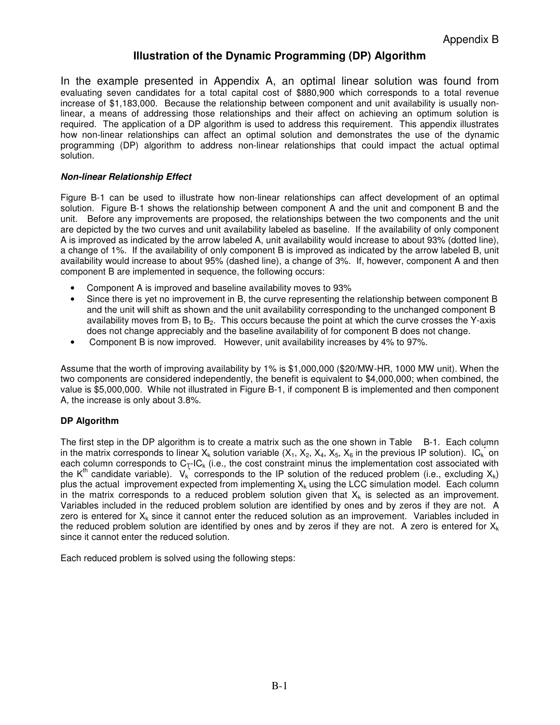# **Illustration of the Dynamic Programming (DP) Algorithm**

In the example presented in Appendix A, an optimal linear solution was found from evaluating seven candidates for a total capital cost of \$880,900 which corresponds to a total revenue increase of \$1,183,000. Because the relationship between component and unit availability is usually nonlinear, a means of addressing those relationships and their affect on achieving an optimum solution is required. The application of a DP algorithm is used to address this requirement. This appendix illustrates how non-linear relationships can affect an optimal solution and demonstrates the use of the dynamic programming (DP) algorithm to address non-linear relationships that could impact the actual optimal solution.

## *Non-linear Relationship Effect*

Figure B-1 can be used to illustrate how non-linear relationships can affect development of an optimal solution. Figure B-1 shows the relationship between component A and the unit and component B and the unit. Before any improvements are proposed, the relationships between the two components and the unit are depicted by the two curves and unit availability labeled as baseline. If the availability of only component A is improved as indicated by the arrow labeled A, unit availability would increase to about 93% (dotted line), a change of 1%. If the availability of only component B is improved as indicated by the arrow labeled B, unit availability would increase to about 95% (dashed line), a change of 3%. If, however, component A and then component B are implemented in sequence, the following occurs:

- Component A is improved and baseline availability moves to 93%
- Since there is yet no improvement in B, the curve representing the relationship between component B and the unit will shift as shown and the unit availability corresponding to the unchanged component B availability moves from  $B_1$  to  $B_2$ . This occurs because the point at which the curve crosses the Y-axis does not change appreciably and the baseline availability of for component B does not change.
- Component B is now improved. However, unit availability increases by 4% to 97%.

Assume that the worth of improving availability by 1% is \$1,000,000 (\$20/MW-HR, 1000 MW unit). When the two components are considered independently, the benefit is equivalent to \$4,000,000; when combined, the value is \$5,000,000. While not illustrated in Figure B-1, if component B is implemented and then component A, the increase is only about 3.8%.

## **DP Algorithm**

The first step in the DP algorithm is to create a matrix such as the one shown in Table B-1. Each column in the matrix corresponds to linear X<sub>k</sub> solution variable (X<sub>1</sub>, X<sub>2</sub>, X<sub>4</sub>, X<sub>5</sub>, X<sub>6</sub> in the previous IP solution). IC<sub>k</sub> on each column corresponds to  $C_T$ -IC<sub>k</sub> (i.e., the cost constraint minus the implementation cost associated with the K<sup>th</sup> candidate variable).  $V_k^*$  corresponds to the IP solution of the reduced problem (i.e., excluding X<sub>k</sub>) plus the actual improvement expected from implementing  $X_k$  using the LCC simulation model. Each column in the matrix corresponds to a reduced problem solution given that  $X_k$  is selected as an improvement. Variables included in the reduced problem solution are identified by ones and by zeros if they are not. A zero is entered for  $X_k$  since it cannot enter the reduced solution as an improvement. Variables included in the reduced problem solution are identified by ones and by zeros if they are not. A zero is entered for  $X_k$ since it cannot enter the reduced solution.

Each reduced problem is solved using the following steps: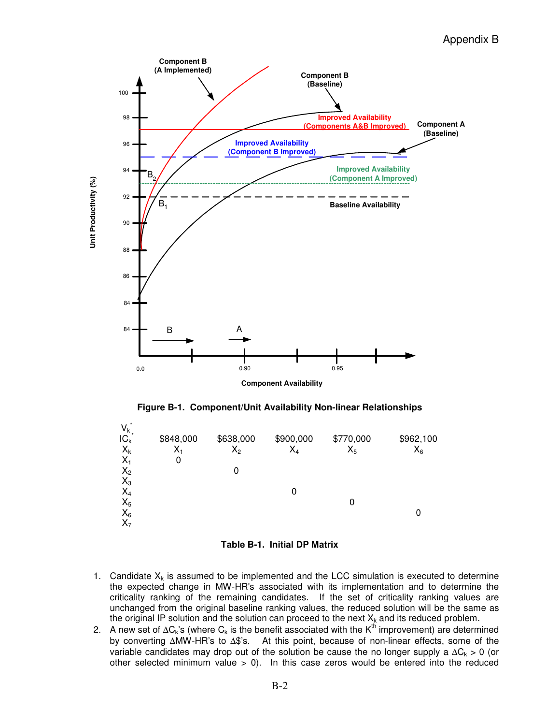

**Figure B-1. Component/Unit Availability Non-linear Relationships**



**Table B-1. Initial DP Matrix**

- 1. Candidate  $X_k$  is assumed to be implemented and the LCC simulation is executed to determine the expected change in MW-HR's associated with its implementation and to determine the criticality ranking of the remaining candidates. If the set of criticality ranking values are unchanged from the original baseline ranking values, the reduced solution will be the same as the original IP solution and the solution can proceed to the next  $X_k$  and its reduced problem.
- 2. A new set of ∆C<sub>k</sub>'s (where C<sub>k</sub> is the benefit associated with the K<sup>th</sup> improvement) are determined by converting ∆MW-HR's to ∆\$'s. At this point, because of non-linear effects, some of the variable candidates may drop out of the solution be cause the no longer supply a  $\Delta C_k > 0$  (or other selected minimum value  $> 0$ ). In this case zeros would be entered into the reduced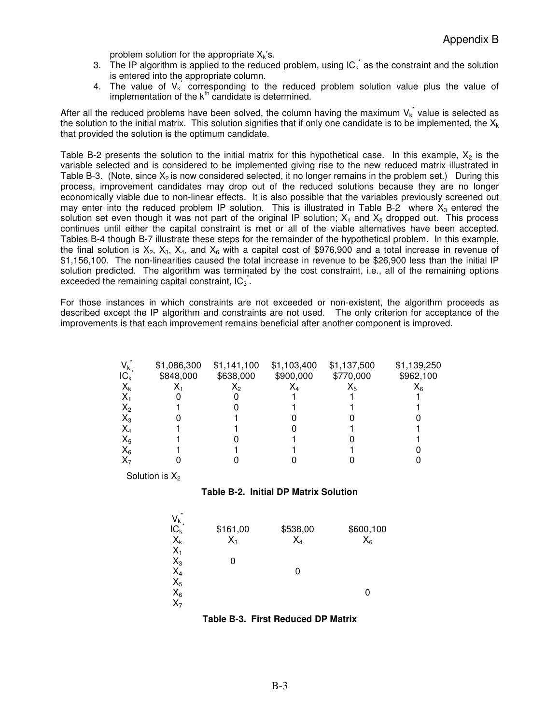problem solution for the appropriate  $X_k$ 's.

- 3. The IP algorithm is applied to the reduced problem, using  $IC_k^*$  as the constraint and the solution is entered into the appropriate column.
- 4. The value of  $V_k^*$  corresponding to the reduced problem solution value plus the value of implementation of the  $k^{\text{th}}$  candidate is determined.

After all the reduced problems have been solved, the column having the maximum  $V_k^*$  value is selected as the solution to the initial matrix. This solution signifies that if only one candidate is to be implemented, the  $X_k$ that provided the solution is the optimum candidate.

Table B-2 presents the solution to the initial matrix for this hypothetical case. In this example,  $X_2$  is the variable selected and is considered to be implemented giving rise to the new reduced matrix illustrated in Table B-3. (Note, since  $X_2$  is now considered selected, it no longer remains in the problem set.) During this process, improvement candidates may drop out of the reduced solutions because they are no longer economically viable due to non-linear effects. It is also possible that the variables previously screened out may enter into the reduced problem IP solution. This is illustrated in Table B-2 where  $X_3$  entered the solution set even though it was not part of the original IP solution;  $X_1$  and  $X_5$  dropped out. This process continues until either the capital constraint is met or all of the viable alternatives have been accepted. Tables B-4 though B-7 illustrate these steps for the remainder of the hypothetical problem. In this example, the final solution is  $X_2$ ,  $X_3$ ,  $X_4$ , and  $X_6$  with a capital cost of \$976,900 and a total increase in revenue of \$1,156,100. The non-linearities caused the total increase in revenue to be \$26,900 less than the initial IP solution predicted. The algorithm was terminated by the cost constraint, i.e., all of the remaining options exceeded the remaining capital constraint,  $IC_3$ .

For those instances in which constraints are not exceeded or non-existent, the algorithm proceeds as described except the IP algorithm and constraints are not used. The only criterion for acceptance of the improvements is that each improvement remains beneficial after another component is improved.

| $V_{k}$ | \$1,086,300 | \$1,141,100    | \$1,103,400 | \$1,137,500 | \$1,139,250    |
|---------|-------------|----------------|-------------|-------------|----------------|
| $IC_k$  | \$848,000   | \$638,000      | \$900,000   | \$770,000   | \$962,100      |
| $X_k$   |             | $\mathsf{X}_2$ |             |             | Λ <sub>6</sub> |
| Χ.      |             |                |             |             |                |
| $X_2$   |             |                |             |             |                |
| $X_3$   |             |                |             |             |                |
| $X_4$   |             |                |             |             |                |
| $X_5$   |             |                |             |             |                |
| $X_6$   |             |                |             |             |                |
|         |             |                |             |             |                |

Solution is  $X_2$ 



| *<br>$V_k$<br>IC <sub>k</sub><br>$X_k$    | \$161,00<br>$X_3$ | \$538,00<br>$X_4$ | \$600,100<br>$X_6$ |
|-------------------------------------------|-------------------|-------------------|--------------------|
| $X_1$                                     |                   |                   |                    |
|                                           |                   |                   |                    |
|                                           |                   | 0                 |                    |
| $X_3$<br>$X_4$<br>$X_5$<br>$X_6$<br>$X_7$ |                   |                   |                    |
|                                           |                   |                   |                    |
|                                           |                   |                   |                    |

**Table B-3. First Reduced DP Matrix**